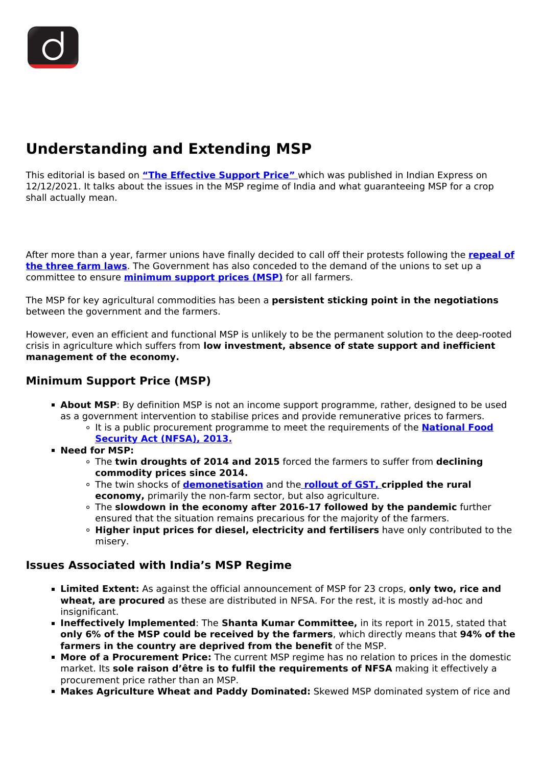# **Understanding and Extending MSP**

This editorial is based on **["The Effective Support Price"](https://indianexpress.com/article/opinion/columns/farmers-protest-minimum-support-price-7666818/)** which was published in Indian Express on 12/12/2021. It talks about the issues in the MSP regime of India and what guaranteeing MSP for a crop shall actually mean.

After more than a year, farmer unions have finally decided to call off their protests following the **[repeal of](/daily-updates/daily-news-analysis/repealing-farm-laws) [the three farm laws](/daily-updates/daily-news-analysis/repealing-farm-laws)**. The Government has also conceded to the demand of the unions to set up a committee to ensure **[minimum support prices \(MSP\)](/daily-updates/daily-news-analysis/minimum-support-price-for-crops)** for all farmers.

The MSP for key agricultural commodities has been a **persistent sticking point in the negotiations** between the government and the farmers.

However, even an efficient and functional MSP is unlikely to be the permanent solution to the deep-rooted crisis in agriculture which suffers from **low investment, absence of state support and inefficient management of the economy.**

## **Minimum Support Price (MSP)**

- **About MSP**: By definition MSP is not an income support programme, rather, designed to be used as a government intervention to stabilise prices and provide remunerative prices to farmers.
	- It is a public procurement programme to meet the requirements of the **[National Food](/daily-updates/daily-news-analysis/revising-national-food-security-act-2013-niti-aayog) [Security Act \(NFSA\), 2013.](/daily-updates/daily-news-analysis/revising-national-food-security-act-2013-niti-aayog)**
- **Need for MSP:** 
	- The **twin droughts of 2014 and 2015** forced the farmers to suffer from **declining commodity prices since 2014.**
	- The twin shocks of **[demonetisation](/daily-updates/daily-news-analysis/four-years-of-demonetisation)** and the **[rollout of GST,](/to-the-points/paper3/goods-and-services-tax-gst-1) crippled the rural economy,** primarily the non-farm sector, but also agriculture.
	- The **slowdown in the economy after 2016-17 followed by the pandemic** further ensured that the situation remains precarious for the majority of the farmers.
	- **Higher input prices for diesel, electricity and fertilisers** have only contributed to the misery.

### **Issues Associated with India's MSP Regime**

- **Limited Extent:** As against the official announcement of MSP for 23 crops, **only two, rice and wheat, are procured** as these are distributed in NFSA. For the rest, it is mostly ad-hoc and insignificant.
- **Ineffectively Implemented**: The **Shanta Kumar Committee,** in its report in 2015, stated that **only 6% of the MSP could be received by the farmers**, which directly means that **94% of the farmers in the country are deprived from the benefit** of the MSP.
- **More of a Procurement Price:** The current MSP regime has no relation to prices in the domestic market. Its **sole raison d'être is to fulfil the requirements of NFSA** making it effectively a procurement price rather than an MSP.
- **Makes Agriculture Wheat and Paddy Dominated:** Skewed MSP dominated system of rice and